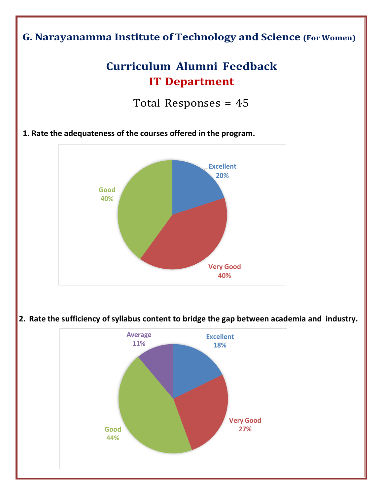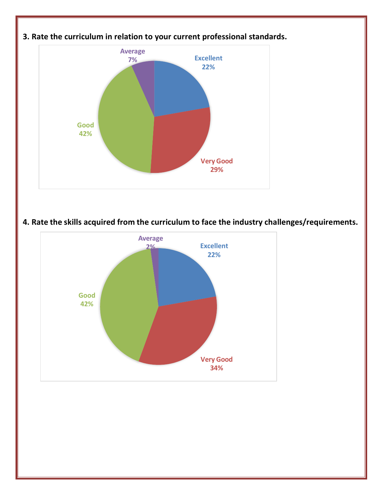

**4. Rate the skills acquired from the curriculum to face the industry challenges/requirements.**

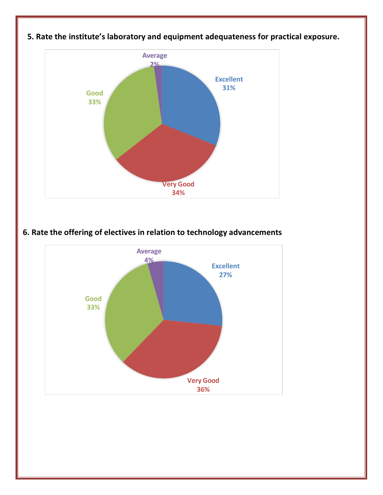

## **5. Rate the institute's laboratory and equipment adequateness for practical exposure.**

**6. Rate the offering of electives in relation to technology advancements**

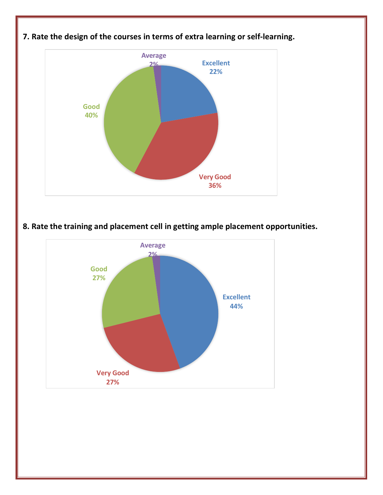